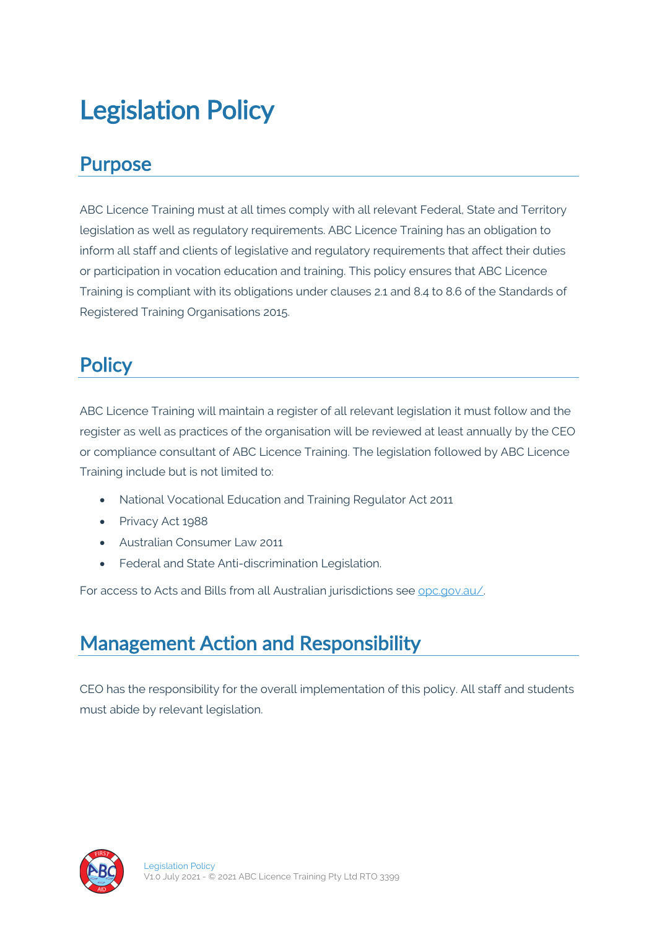# Legislation Policy

#### Purpose

ABC Licence Training must at all times comply with all relevant Federal, State and Territory legislation as well as regulatory requirements. ABC Licence Training has an obligation to inform all staff and clients of legislative and regulatory requirements that affect their duties or participation in vocation education and training. This policy ensures that ABC Licence Training is compliant with its obligations under clauses 2.1 and 8.4 to 8.6 of the Standards of Registered Training Organisations 2015.

## **Policy**

ABC Licence Training will maintain a register of all relevant legislation it must follow and the register as well as practices of the organisation will be reviewed at least annually by the CEO or compliance consultant of ABC Licence Training. The legislation followed by ABC Licence Training include but is not limited to:

- National Vocational Education and Training Regulator Act 2011
- Privacy Act 1988
- Australian Consumer Law 2011
- Federal and State Anti-discrimination Legislation.

For access to Acts and Bills from all Australian jurisdictions see opc.gov.au/.

### Management Action and Responsibility

CEO has the responsibility for the overall implementation of this policy. All staff and students must abide by relevant legislation.